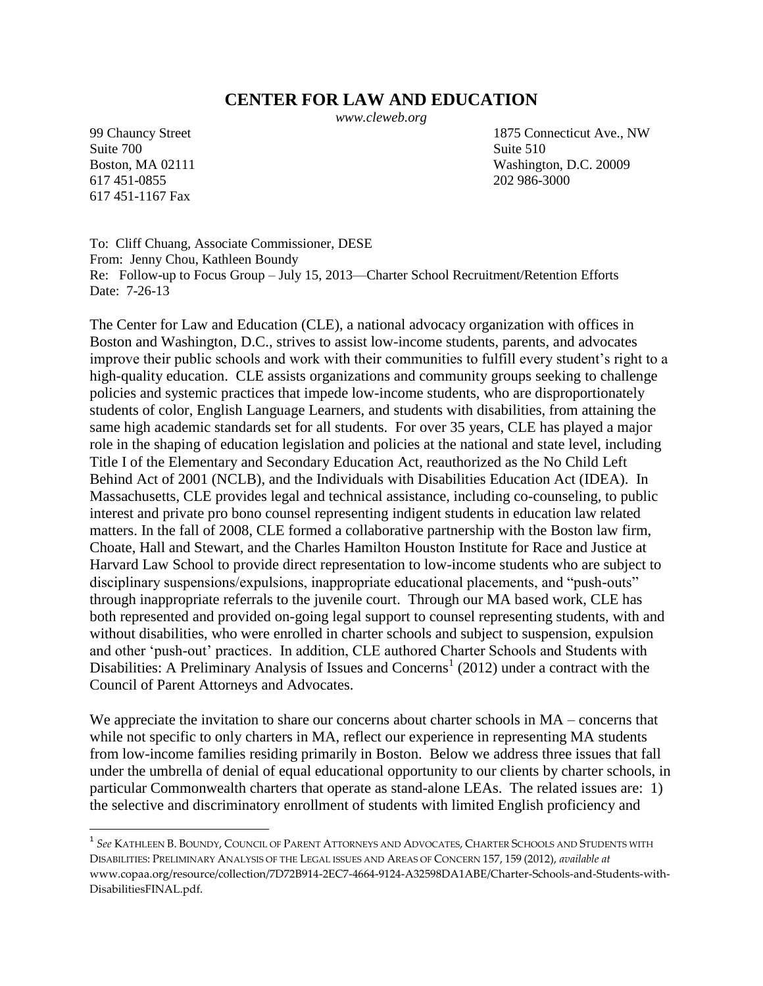# **CENTER FOR LAW AND EDUCATION**

*www.cleweb.org*

Suite 700 Suite 510 617 451-0855 202 986-3000 617 451-1167 Fax

 $\overline{\phantom{a}}$ 

99 Chauncy Street 1875 Connecticut Ave., NW Boston, MA 02111 Washington, D.C. 20009

To: Cliff Chuang, Associate Commissioner, DESE From: Jenny Chou, Kathleen Boundy Re: Follow-up to Focus Group – July 15, 2013—Charter School Recruitment/Retention Efforts Date: 7-26-13

The Center for Law and Education (CLE), a national advocacy organization with offices in Boston and Washington, D.C., strives to assist low-income students, parents, and advocates improve their public schools and work with their communities to fulfill every student's right to a high-quality education. CLE assists organizations and community groups seeking to challenge policies and systemic practices that impede low-income students, who are disproportionately students of color, English Language Learners, and students with disabilities, from attaining the same high academic standards set for all students. For over 35 years, CLE has played a major role in the shaping of education legislation and policies at the national and state level, including Title I of the Elementary and Secondary Education Act, reauthorized as the No Child Left Behind Act of 2001 (NCLB), and the Individuals with Disabilities Education Act (IDEA). In Massachusetts, CLE provides legal and technical assistance, including co-counseling, to public interest and private pro bono counsel representing indigent students in education law related matters. In the fall of 2008, CLE formed a collaborative partnership with the Boston law firm, Choate, Hall and Stewart, and the Charles Hamilton Houston Institute for Race and Justice at Harvard Law School to provide direct representation to low-income students who are subject to disciplinary suspensions/expulsions, inappropriate educational placements, and "push-outs" through inappropriate referrals to the juvenile court. Through our MA based work, CLE has both represented and provided on-going legal support to counsel representing students, with and without disabilities, who were enrolled in charter schools and subject to suspension, expulsion and other 'push-out' practices. In addition, CLE authored Charter Schools and Students with Disabilities: A Preliminary Analysis of Issues and Concerns<sup>1</sup> (2012) under a contract with the Council of Parent Attorneys and Advocates.

We appreciate the invitation to share our concerns about charter schools in MA – concerns that while not specific to only charters in MA, reflect our experience in representing MA students from low-income families residing primarily in Boston. Below we address three issues that fall under the umbrella of denial of equal educational opportunity to our clients by charter schools, in particular Commonwealth charters that operate as stand-alone LEAs. The related issues are: 1) the selective and discriminatory enrollment of students with limited English proficiency and

<sup>1</sup> *See* KATHLEEN B. BOUNDY, COUNCIL OF PARENT ATTORNEYS AND ADVOCATES, CHARTER SCHOOLS AND STUDENTS WITH DISABILITIES: PRELIMINARY ANALYSIS OF THE LEGAL ISSUES AND AREAS OF CONCERN 157, 159 (2012), *available at* www.copaa.org/resource/collection/7D72B914-2EC7-4664-9124-A32598DA1ABE/Charter-Schools-and-Students-with-DisabilitiesFINAL.pdf.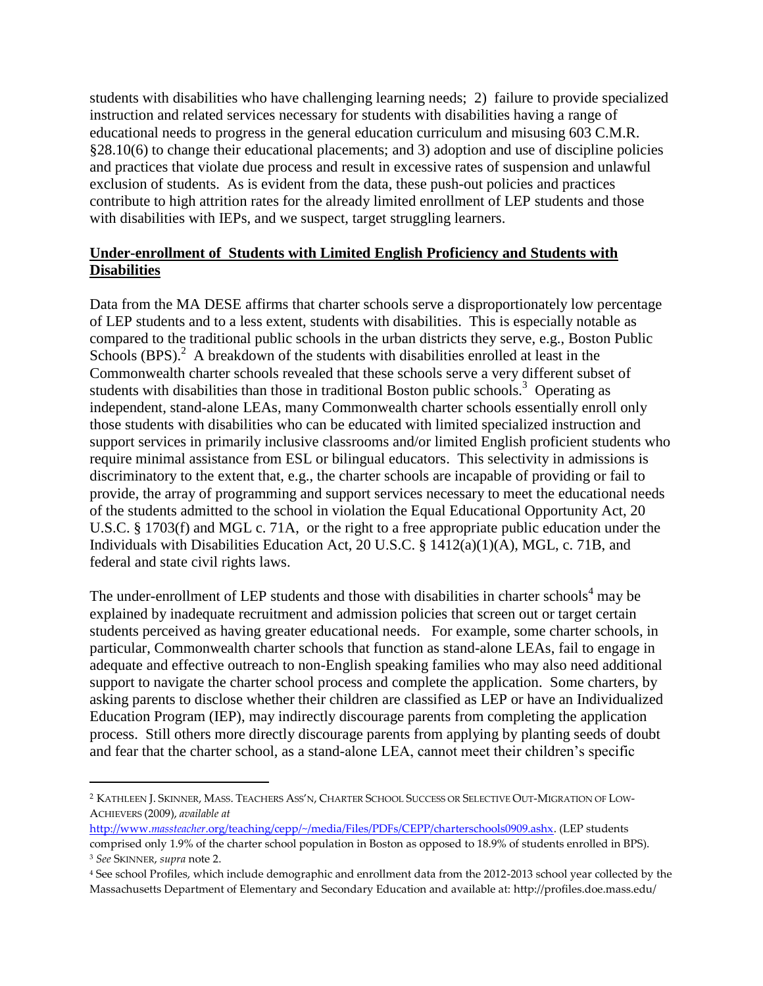students with disabilities who have challenging learning needs; 2) failure to provide specialized instruction and related services necessary for students with disabilities having a range of educational needs to progress in the general education curriculum and misusing 603 C.M.R. §28.10(6) to change their educational placements; and 3) adoption and use of discipline policies and practices that violate due process and result in excessive rates of suspension and unlawful exclusion of students. As is evident from the data, these push-out policies and practices contribute to high attrition rates for the already limited enrollment of LEP students and those with disabilities with IEPs, and we suspect, target struggling learners.

## **Under-enrollment of Students with Limited English Proficiency and Students with Disabilities**

Data from the MA DESE affirms that charter schools serve a disproportionately low percentage of LEP students and to a less extent, students with disabilities. This is especially notable as compared to the traditional public schools in the urban districts they serve, e.g., Boston Public Schools  $(BPS)$ .<sup>2</sup> A breakdown of the students with disabilities enrolled at least in the Commonwealth charter schools revealed that these schools serve a very different subset of students with disabilities than those in traditional Boston public schools.<sup>3</sup> Operating as independent, stand-alone LEAs, many Commonwealth charter schools essentially enroll only those students with disabilities who can be educated with limited specialized instruction and support services in primarily inclusive classrooms and/or limited English proficient students who require minimal assistance from ESL or bilingual educators. This selectivity in admissions is discriminatory to the extent that, e.g., the charter schools are incapable of providing or fail to provide, the array of programming and support services necessary to meet the educational needs of the students admitted to the school in violation the Equal Educational Opportunity Act, 20 U.S.C. § 1703(f) and MGL c. 71A, or the right to a free appropriate public education under the Individuals with Disabilities Education Act, 20 U.S.C. § 1412(a)(1)(A), MGL, c. 71B, and federal and state civil rights laws.

The under-enrollment of LEP students and those with disabilities in charter schools<sup>4</sup> may be explained by inadequate recruitment and admission policies that screen out or target certain students perceived as having greater educational needs. For example, some charter schools, in particular, Commonwealth charter schools that function as stand-alone LEAs, fail to engage in adequate and effective outreach to non-English speaking families who may also need additional support to navigate the charter school process and complete the application. Some charters, by asking parents to disclose whether their children are classified as LEP or have an Individualized Education Program (IEP), may indirectly discourage parents from completing the application process. Still others more directly discourage parents from applying by planting seeds of doubt and fear that the charter school, as a stand-alone LEA, cannot meet their children's specific

 $\overline{a}$ 

<sup>2</sup> KATHLEEN J. SKINNER, MASS. TEACHERS ASS'N, CHARTER SCHOOL SUCCESS OR SELECTIVE OUT-MIGRATION OF LOW-ACHIEVERS (2009), *available at* 

http://www.*massteacher*[.org/teaching/cepp/~/media/Files/PDFs/CEPP/charterschools0909.ashx.](http://www.massteacher.org/teaching/cepp/~/media/Files/PDFs/CEPP/charterschools0909.ashx) (LEP students comprised only 1.9% of the charter school population in Boston as opposed to 18.9% of students enrolled in BPS). <sup>3</sup> *See* SKINNER, *supra* note 2.

<sup>4</sup> See school Profiles, which include demographic and enrollment data from the 2012-2013 school year collected by the Massachusetts Department of Elementary and Secondary Education and available at: http://profiles.doe.mass.edu/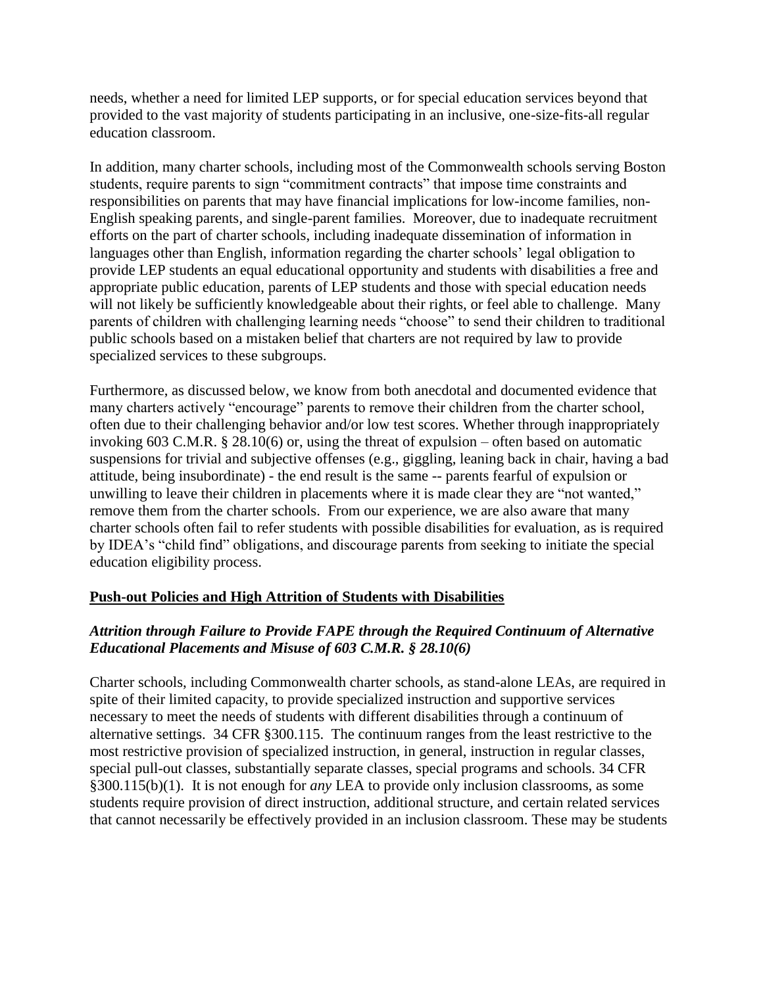needs, whether a need for limited LEP supports, or for special education services beyond that provided to the vast majority of students participating in an inclusive, one-size-fits-all regular education classroom.

In addition, many charter schools, including most of the Commonwealth schools serving Boston students, require parents to sign "commitment contracts" that impose time constraints and responsibilities on parents that may have financial implications for low-income families, non-English speaking parents, and single-parent families. Moreover, due to inadequate recruitment efforts on the part of charter schools, including inadequate dissemination of information in languages other than English, information regarding the charter schools' legal obligation to provide LEP students an equal educational opportunity and students with disabilities a free and appropriate public education, parents of LEP students and those with special education needs will not likely be sufficiently knowledgeable about their rights, or feel able to challenge. Many parents of children with challenging learning needs "choose" to send their children to traditional public schools based on a mistaken belief that charters are not required by law to provide specialized services to these subgroups.

Furthermore, as discussed below, we know from both anecdotal and documented evidence that many charters actively "encourage" parents to remove their children from the charter school, often due to their challenging behavior and/or low test scores. Whether through inappropriately invoking 603 C.M.R. § 28.10(6) or, using the threat of expulsion – often based on automatic suspensions for trivial and subjective offenses (e.g., giggling, leaning back in chair, having a bad attitude, being insubordinate) - the end result is the same -- parents fearful of expulsion or unwilling to leave their children in placements where it is made clear they are "not wanted," remove them from the charter schools. From our experience, we are also aware that many charter schools often fail to refer students with possible disabilities for evaluation, as is required by IDEA's "child find" obligations, and discourage parents from seeking to initiate the special education eligibility process.

### **Push-out Policies and High Attrition of Students with Disabilities**

## *Attrition through Failure to Provide FAPE through the Required Continuum of Alternative Educational Placements and Misuse of 603 C.M.R. § 28.10(6)*

Charter schools, including Commonwealth charter schools, as stand-alone LEAs, are required in spite of their limited capacity, to provide specialized instruction and supportive services necessary to meet the needs of students with different disabilities through a continuum of alternative settings. 34 CFR §300.115. The continuum ranges from the least restrictive to the most restrictive provision of specialized instruction, in general, instruction in regular classes, special pull-out classes, substantially separate classes, special programs and schools. 34 CFR §300.115(b)(1). It is not enough for *any* LEA to provide only inclusion classrooms, as some students require provision of direct instruction, additional structure, and certain related services that cannot necessarily be effectively provided in an inclusion classroom. These may be students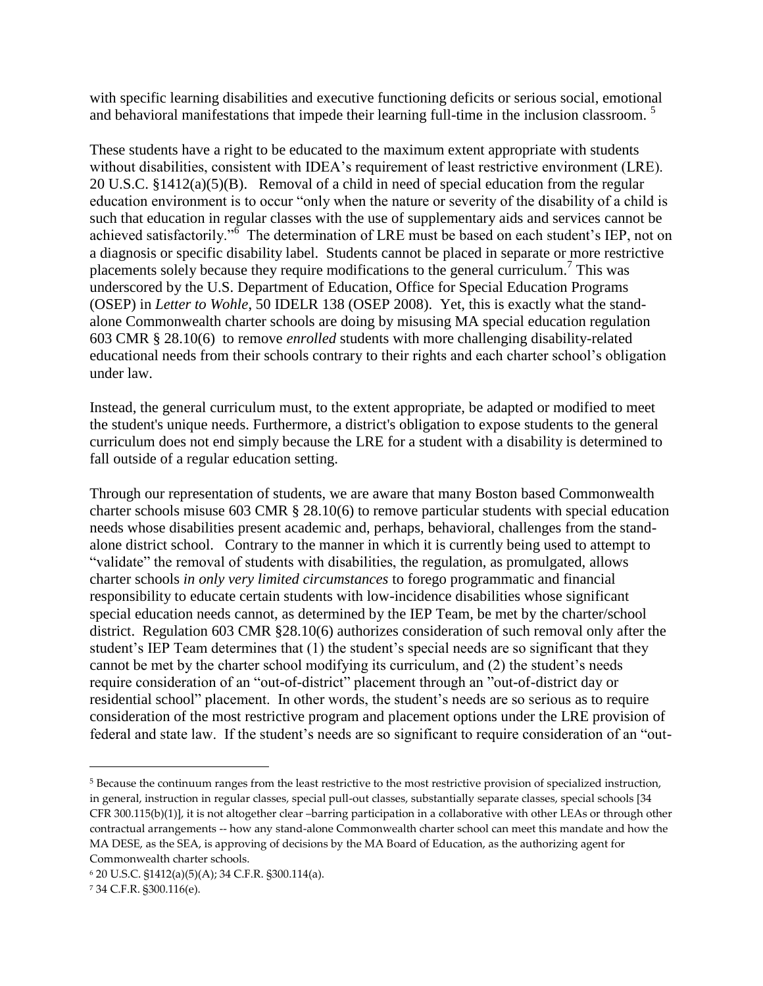with specific learning disabilities and executive functioning deficits or serious social, emotional and behavioral manifestations that impede their learning full-time in the inclusion classroom.<sup>5</sup>

These students have a right to be educated to the maximum extent appropriate with students without disabilities, consistent with IDEA's requirement of least restrictive environment (LRE). 20 U.S.C. §1412(a)(5)(B). Removal of a child in need of special education from the regular education environment is to occur "only when the nature or severity of the disability of a child is such that education in regular classes with the use of supplementary aids and services cannot be achieved satisfactorily."<sup>6</sup> The determination of LRE must be based on each student's IEP, not on a diagnosis or specific disability label. Students cannot be placed in separate or more restrictive placements solely because they require modifications to the general curriculum.<sup>7</sup> This was underscored by the U.S. Department of Education, Office for Special Education Programs (OSEP) in *Letter to Wohle*, 50 IDELR 138 (OSEP 2008). Yet, this is exactly what the standalone Commonwealth charter schools are doing by misusing MA special education regulation 603 CMR § 28.10(6) to remove *enrolled* students with more challenging disability-related educational needs from their schools contrary to their rights and each charter school's obligation under law.

Instead, the general curriculum must, to the extent appropriate, be adapted or modified to meet the student's unique needs. Furthermore, a district's obligation to expose students to the general curriculum does not end simply because the LRE for a student with a disability is determined to fall outside of a regular education setting.

Through our representation of students, we are aware that many Boston based Commonwealth charter schools misuse 603 CMR  $\S$  28.10(6) to remove particular students with special education needs whose disabilities present academic and, perhaps, behavioral, challenges from the standalone district school. Contrary to the manner in which it is currently being used to attempt to "validate" the removal of students with disabilities, the regulation, as promulgated, allows charter schools *in only very limited circumstances* to forego programmatic and financial responsibility to educate certain students with low-incidence disabilities whose significant special education needs cannot, as determined by the IEP Team, be met by the charter/school district. Regulation 603 CMR §28.10(6) authorizes consideration of such removal only after the student's IEP Team determines that (1) the student's special needs are so significant that they cannot be met by the charter school modifying its curriculum, and (2) the student's needs require consideration of an "out-of-district" placement through an "out-of-district day or residential school" placement. In other words, the student's needs are so serious as to require consideration of the most restrictive program and placement options under the LRE provision of federal and state law. If the student's needs are so significant to require consideration of an "out-

 $\overline{\phantom{a}}$ 

<sup>5</sup> Because the continuum ranges from the least restrictive to the most restrictive provision of specialized instruction, in general, instruction in regular classes, special pull-out classes, substantially separate classes, special schools [34 CFR 300.115(b)(1)], it is not altogether clear –barring participation in a collaborative with other LEAs or through other contractual arrangements -- how any stand-alone Commonwealth charter school can meet this mandate and how the MA DESE, as the SEA, is approving of decisions by the MA Board of Education, as the authorizing agent for Commonwealth charter schools.

<sup>6</sup> 20 U.S.C. §1412(a)(5)(A); 34 C.F.R. §300.114(a).

<sup>7</sup> 34 C.F.R. §300.116(e).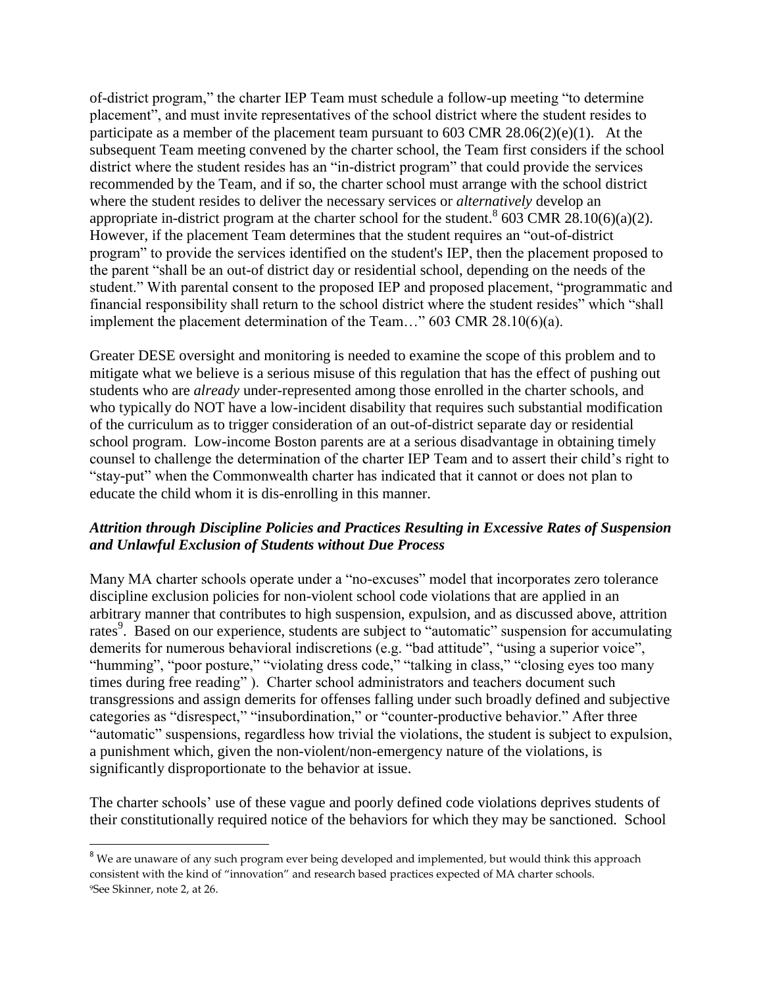of-district program," the charter IEP Team must schedule a follow-up meeting "to determine placement", and must invite representatives of the school district where the student resides to participate as a member of the placement team pursuant to 603 CMR 28.06(2)(e)(1). At the subsequent Team meeting convened by the charter school, the Team first considers if the school district where the student resides has an "in-district program" that could provide the services recommended by the Team, and if so, the charter school must arrange with the school district where the student resides to deliver the necessary services or *alternatively* develop an appropriate in-district program at the charter school for the student.<sup>8</sup> 603 CMR 28.10(6)(a)(2). However, if the placement Team determines that the student requires an "out-of-district program" to provide the services identified on the student's IEP, then the placement proposed to the parent "shall be an out-of district day or residential school, depending on the needs of the student." With parental consent to the proposed IEP and proposed placement, "programmatic and financial responsibility shall return to the school district where the student resides" which "shall implement the placement determination of the Team…" 603 CMR 28.10(6)(a).

Greater DESE oversight and monitoring is needed to examine the scope of this problem and to mitigate what we believe is a serious misuse of this regulation that has the effect of pushing out students who are *already* under-represented among those enrolled in the charter schools, and who typically do NOT have a low-incident disability that requires such substantial modification of the curriculum as to trigger consideration of an out-of-district separate day or residential school program. Low-income Boston parents are at a serious disadvantage in obtaining timely counsel to challenge the determination of the charter IEP Team and to assert their child's right to "stay-put" when the Commonwealth charter has indicated that it cannot or does not plan to educate the child whom it is dis-enrolling in this manner.

### *Attrition through Discipline Policies and Practices Resulting in Excessive Rates of Suspension and Unlawful Exclusion of Students without Due Process*

Many MA charter schools operate under a "no-excuses" model that incorporates zero tolerance discipline exclusion policies for non-violent school code violations that are applied in an arbitrary manner that contributes to high suspension, expulsion, and as discussed above, attrition rates<sup>9</sup>. Based on our experience, students are subject to "automatic" suspension for accumulating demerits for numerous behavioral indiscretions (e.g. "bad attitude", "using a superior voice", "humming", "poor posture," "violating dress code," "talking in class," "closing eyes too many times during free reading" ). Charter school administrators and teachers document such transgressions and assign demerits for offenses falling under such broadly defined and subjective categories as "disrespect," "insubordination," or "counter-productive behavior." After three "automatic" suspensions, regardless how trivial the violations, the student is subject to expulsion, a punishment which, given the non-violent/non-emergency nature of the violations, is significantly disproportionate to the behavior at issue.

The charter schools' use of these vague and poorly defined code violations deprives students of their constitutionally required notice of the behaviors for which they may be sanctioned. School

 $\overline{a}$ 

<sup>&</sup>lt;sup>8</sup> We are unaware of any such program ever being developed and implemented, but would think this approach consistent with the kind of "innovation" and research based practices expected of MA charter schools. 9See Skinner, note 2, at 26.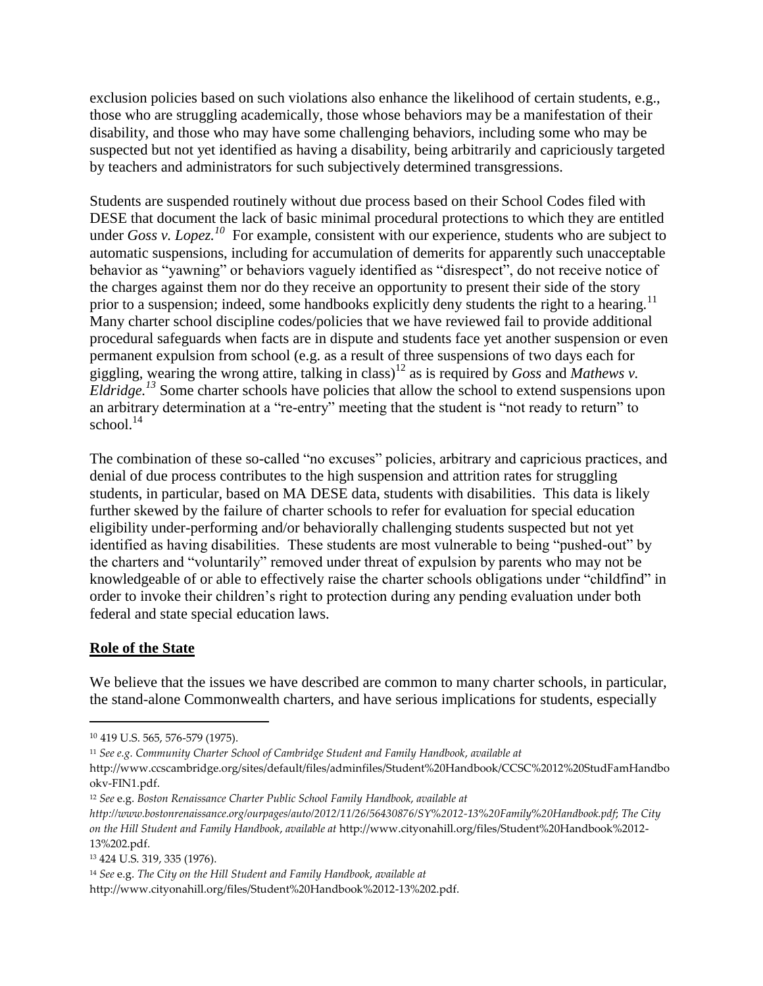exclusion policies based on such violations also enhance the likelihood of certain students, e.g., those who are struggling academically, those whose behaviors may be a manifestation of their disability, and those who may have some challenging behaviors, including some who may be suspected but not yet identified as having a disability, being arbitrarily and capriciously targeted by teachers and administrators for such subjectively determined transgressions.

Students are suspended routinely without due process based on their School Codes filed with DESE that document the lack of basic minimal procedural protections to which they are entitled under *Goss v. Lopez.<sup>10</sup>* For example, consistent with our experience, students who are subject to automatic suspensions, including for accumulation of demerits for apparently such unacceptable behavior as "yawning" or behaviors vaguely identified as "disrespect", do not receive notice of the charges against them nor do they receive an opportunity to present their side of the story prior to a suspension; indeed, some handbooks explicitly deny students the right to a hearing.<sup>11</sup> Many charter school discipline codes/policies that we have reviewed fail to provide additional procedural safeguards when facts are in dispute and students face yet another suspension or even permanent expulsion from school (e.g. as a result of three suspensions of two days each for giggling, wearing the wrong attire, talking in class)<sup>12</sup> as is required by *Goss* and *Mathews v. Eldridge.*<sup>13</sup> Some charter schools have policies that allow the school to extend suspensions upon an arbitrary determination at a "re-entry" meeting that the student is "not ready to return" to school. $14$ 

The combination of these so-called "no excuses" policies, arbitrary and capricious practices, and denial of due process contributes to the high suspension and attrition rates for struggling students, in particular, based on MA DESE data, students with disabilities. This data is likely further skewed by the failure of charter schools to refer for evaluation for special education eligibility under-performing and/or behaviorally challenging students suspected but not yet identified as having disabilities. These students are most vulnerable to being "pushed-out" by the charters and "voluntarily" removed under threat of expulsion by parents who may not be knowledgeable of or able to effectively raise the charter schools obligations under "childfind" in order to invoke their children's right to protection during any pending evaluation under both federal and state special education laws.

### **Role of the State**

 $\overline{\phantom{a}}$ 

We believe that the issues we have described are common to many charter schools, in particular, the stand-alone Commonwealth charters, and have serious implications for students, especially

<sup>10</sup> 419 U.S. 565, 576-579 (1975).

<sup>11</sup> *See e.g. Community Charter School of Cambridge Student and Family Handbook*, *available at*

http://www.ccscambridge.org/sites/default/files/adminfiles/Student%20Handbook/CCSC%2012%20StudFamHandbo okv-FIN1.pdf.

<sup>12</sup> *See* e.g. *Boston Renaissance Charter Public School Family Handbook*, *available at*

*http://www.bostonrenaissance.org/ourpages/auto/2012/11/26/56430876/SY%2012-13%20Family%20Handbook.pdf*; *The City on the Hill Student and Family Handbook*, *available at* http://www.cityonahill.org/files/Student%20Handbook%2012- 13%202.pdf.

<sup>13</sup> 424 U.S. 319, 335 (1976).

<sup>14</sup> *See* e.g. *The City on the Hill Student and Family Handbook*, *available at*

http://www.cityonahill.org/files/Student%20Handbook%2012-13%202.pdf.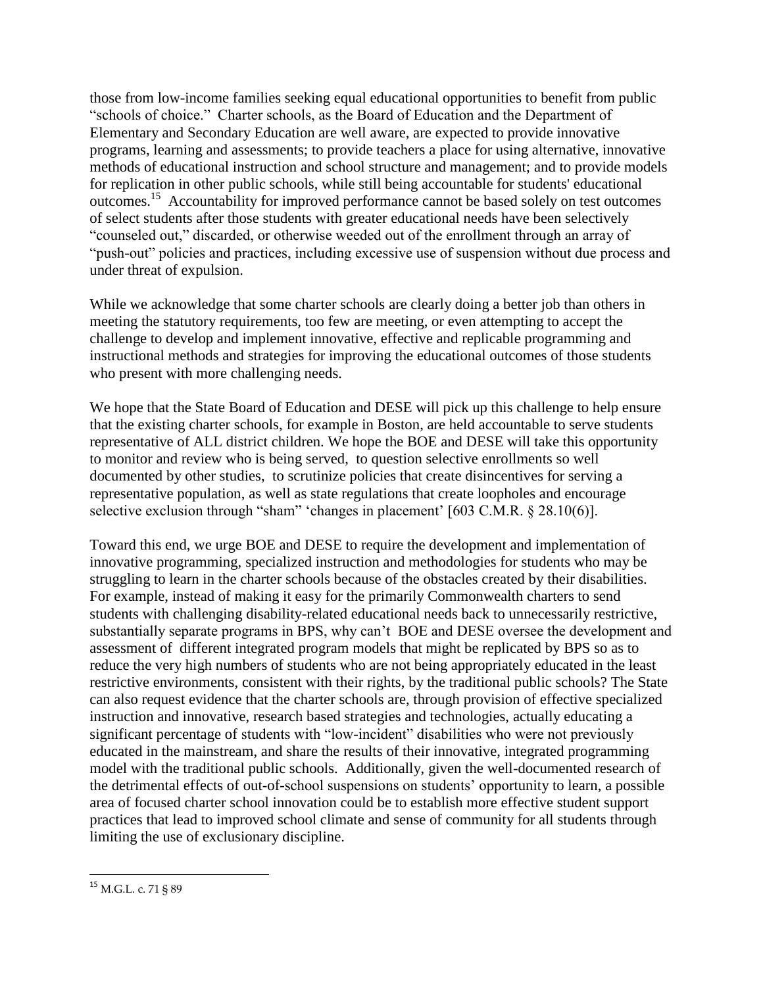those from low-income families seeking equal educational opportunities to benefit from public "schools of choice." Charter schools, as the Board of Education and the Department of Elementary and Secondary Education are well aware, are expected to provide innovative programs, learning and assessments; to provide teachers a place for using alternative, innovative methods of educational instruction and school structure and management; and to provide models for replication in other public schools, while still being accountable for students' educational outcomes.<sup>15</sup> Accountability for improved performance cannot be based solely on test outcomes of select students after those students with greater educational needs have been selectively "counseled out," discarded, or otherwise weeded out of the enrollment through an array of "push-out" policies and practices, including excessive use of suspension without due process and under threat of expulsion.

While we acknowledge that some charter schools are clearly doing a better job than others in meeting the statutory requirements, too few are meeting, or even attempting to accept the challenge to develop and implement innovative, effective and replicable programming and instructional methods and strategies for improving the educational outcomes of those students who present with more challenging needs.

We hope that the State Board of Education and DESE will pick up this challenge to help ensure that the existing charter schools, for example in Boston, are held accountable to serve students representative of ALL district children. We hope the BOE and DESE will take this opportunity to monitor and review who is being served, to question selective enrollments so well documented by other studies, to scrutinize policies that create disincentives for serving a representative population, as well as state regulations that create loopholes and encourage selective exclusion through "sham" 'changes in placement' [603 C.M.R. § 28.10(6)].

Toward this end, we urge BOE and DESE to require the development and implementation of innovative programming, specialized instruction and methodologies for students who may be struggling to learn in the charter schools because of the obstacles created by their disabilities. For example, instead of making it easy for the primarily Commonwealth charters to send students with challenging disability-related educational needs back to unnecessarily restrictive, substantially separate programs in BPS, why can't BOE and DESE oversee the development and assessment of different integrated program models that might be replicated by BPS so as to reduce the very high numbers of students who are not being appropriately educated in the least restrictive environments, consistent with their rights, by the traditional public schools? The State can also request evidence that the charter schools are, through provision of effective specialized instruction and innovative, research based strategies and technologies, actually educating a significant percentage of students with "low-incident" disabilities who were not previously educated in the mainstream, and share the results of their innovative, integrated programming model with the traditional public schools. Additionally, given the well-documented research of the detrimental effects of out-of-school suspensions on students' opportunity to learn, a possible area of focused charter school innovation could be to establish more effective student support practices that lead to improved school climate and sense of community for all students through limiting the use of exclusionary discipline.

 $\overline{\phantom{a}}$ 

<sup>&</sup>lt;sup>15</sup> M.G.L. c. 71 § 89